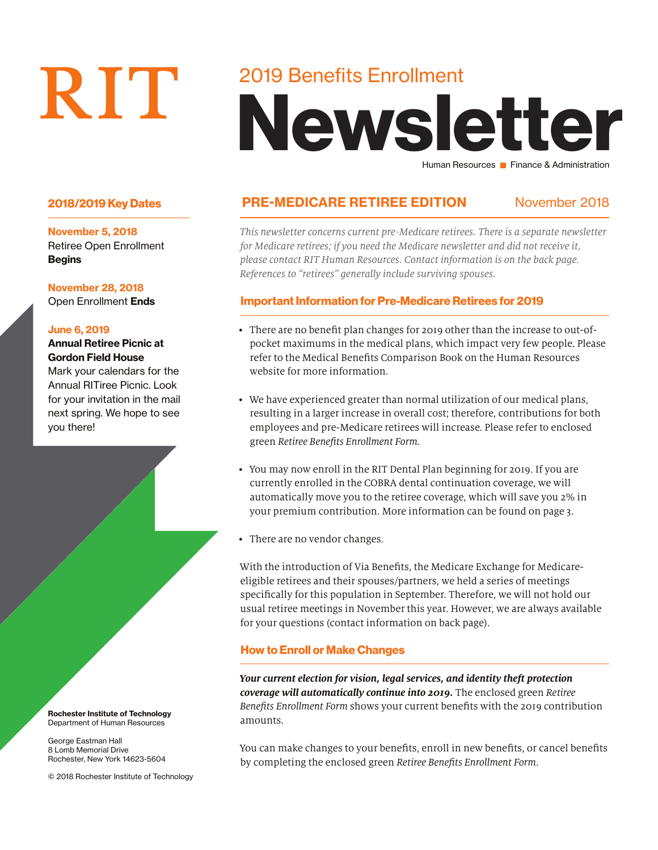# RIT

## 2019 Benefits Enrollment

# Newsletter Human Resources **Finance & Administration**

#### 2018/2019 Key Dates **PRE-MEDICARE RETIREE EDITION** November 2018

*This newsletter concerns current pre-Medicare retirees. There is a separate newsletter for Medicare retirees; if you need the Medicare newsletter and did not receive it, please contact RIT Human Resources. Contact information is on the back page. References to "retirees" generally include surviving spouses.*

#### Important Information for Pre-Medicare Retirees for 2019

- There are no benefit plan changes for 2019 other than the increase to out-ofpocket maximums in the medical plans, which impact very few people. Please refer to the Medical Benefits Comparison Book on the Human Resources website for more information.
- We have experienced greater than normal utilization of our medical plans, resulting in a larger increase in overall cost; therefore, contributions for both employees and pre-Medicare retirees will increase. Please refer to enclosed green *Retiree Benefits Enrollment Form*.
- You may now enroll in the RIT Dental Plan beginning for 2019. If you are currently enrolled in the COBRA dental continuation coverage, we will automatically move you to the retiree coverage, which will save you 2% in your premium contribution. More information can be found on page 3.
- There are no vendor changes.

With the introduction of Via Benefits, the Medicare Exchange for Medicareeligible retirees and their spouses/partners, we held a series of meetings specifically for this population in September. Therefore, we will not hold our usual retiree meetings in November this year. However, we are always available for your questions (contact information on back page).

#### How to Enroll or Make Changes

*Your current election for vision, legal services, and identity theft protection coverage will automatically continue into 2019.* The enclosed green *Retiree Benefits Enrollment Form* shows your current benefits with the 2019 contribution amounts.

You can make changes to your benefits, enroll in new benefits, or cancel benefits by completing the enclosed green *Retiree Benefits Enrollment Form*.

November 5, 2018 Retiree Open Enrollment **Begins** 

November 28, 2018

Open Enrollment Ends

#### June 6, 2019

#### Annual Retiree Picnic at Gordon Field House

Mark your calendars for the Annual RITiree Picnic. Look for your invitation in the mail next spring. We hope to see you there!

Rochester Institute of Technology Department of Human Resources

George Eastman Hall 8 Lomb Memorial Drive Rochester, New York 14623-5604

© 2018 Rochester Institute of Technology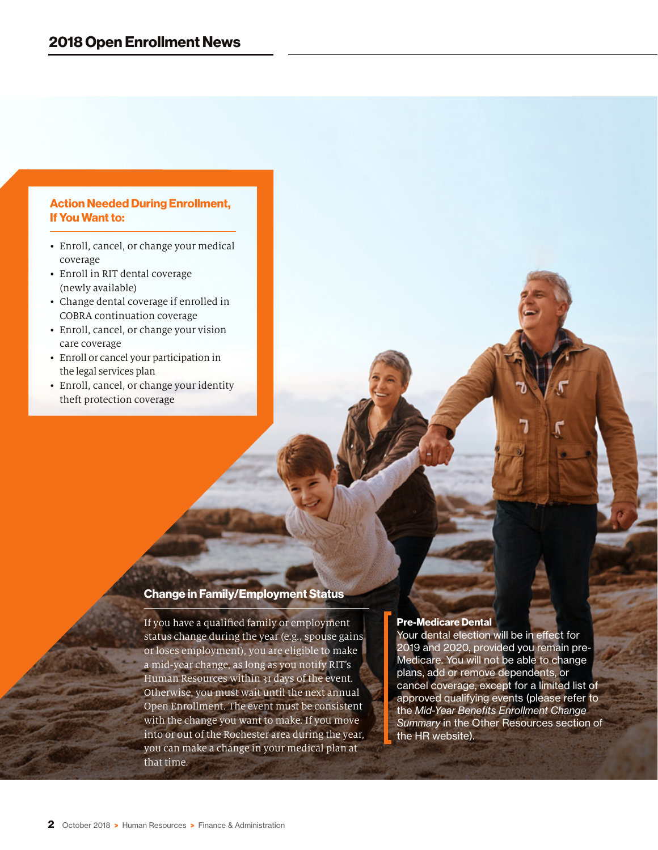#### Action Needed During Enrollment, If You Want to:

- Enroll, cancel, or change your medical coverage
- Enroll in RIT dental coverage (newly available)
- Change dental coverage if enrolled in COBRA continuation coverage
- Enroll, cancel, or change your vision care coverage
- Enroll or cancel your participation in the legal services plan
- Enroll, cancel, or change your identity theft protection coverage

#### Change in Family/Employment Status

If you have a qualified family or employment status change during the year (e.g., spouse gains or loses employment), you are eligible to make a mid-year change, as long as you notify RIT's Human Resources within 31 days of the event. Otherwise, you must wait until the next annual Open Enrollment. The event must be consistent with the change you want to make. If you move into or out of the Rochester area during the year, you can make a change in your medical plan at that time.

#### Pre-Medicare Dental

Your dental election will be in effect for 2019 and 2020, provided you remain pre-Medicare. You will not be able to change plans, add or remove dependents, or cancel coverage, except for a limited list of approved qualifying events (please refer to the *Mid-Year Benefits Enrollment Change Summary* in the Other Resources section of the HR website).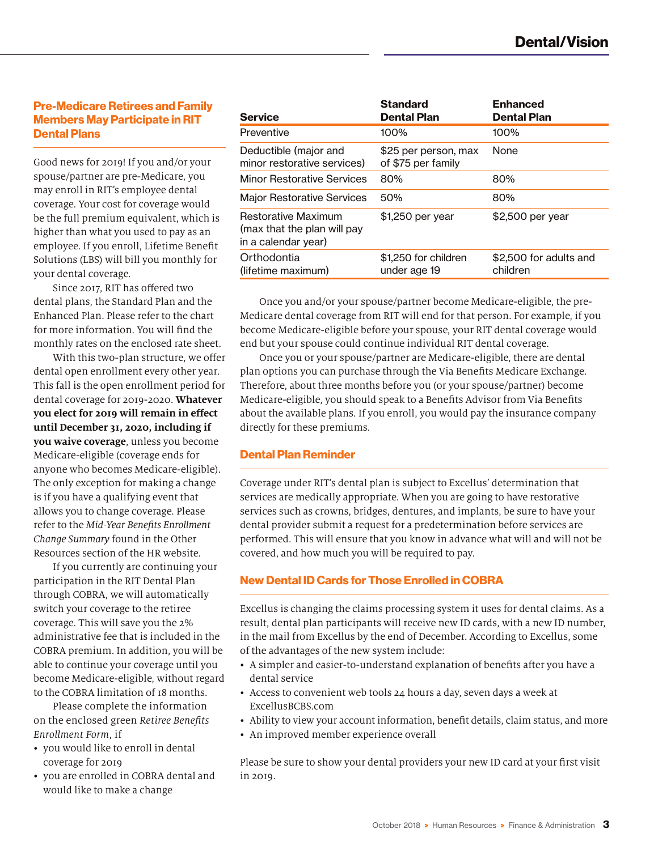#### Pre-Medicare Retirees and Family Members May Participate in RIT Dental Plans

Good news for 2019! If you and/or your spouse/partner are pre-Medicare, you may enroll in RIT's employee dental coverage. Your cost for coverage would be the full premium equivalent, which is higher than what you used to pay as an employee. If you enroll, Lifetime Benefit Solutions (LBS) will bill you monthly for your dental coverage.

Since 2017, RIT has offered two dental plans, the Standard Plan and the Enhanced Plan. Please refer to the chart for more information. You will find the monthly rates on the enclosed rate sheet.

With this two-plan structure, we offer dental open enrollment every other year. This fall is the open enrollment period for dental coverage for 2019-2020. **Whatever you elect for 2019 will remain in effect until December 31, 2020, including if you waive coverage**, unless you become Medicare-eligible (coverage ends for anyone who becomes Medicare-eligible). The only exception for making a change is if you have a qualifying event that allows you to change coverage. Please refer to the *Mid-Year Benefits Enrollment Change Summary* found in the Other Resources section of the HR website.

If you currently are continuing your participation in the RIT Dental Plan through COBRA, we will automatically switch your coverage to the retiree coverage. This will save you the 2% administrative fee that is included in the COBRA premium. In addition, you will be able to continue your coverage until you become Medicare-eligible, without regard to the COBRA limitation of 18 months.

Please complete the information on the enclosed green *Retiree Benefits Enrollment Form*, if

- you would like to enroll in dental coverage for 2019
- you are enrolled in COBRA dental and would like to make a change

| <b>Service</b>                                                                   | <b>Standard</b><br><b>Dental Plan</b>      | <b>Enhanced</b><br><b>Dental Plan</b> |
|----------------------------------------------------------------------------------|--------------------------------------------|---------------------------------------|
| Preventive                                                                       | 100%                                       | 100%                                  |
| Deductible (major and<br>minor restorative services)                             | \$25 per person, max<br>of \$75 per family | <b>None</b>                           |
| <b>Minor Restorative Services</b>                                                | 80%                                        | 80%                                   |
| <b>Major Restorative Services</b>                                                | 50%                                        | 80%                                   |
| <b>Restorative Maximum</b><br>(max that the plan will pay<br>in a calendar year) | \$1,250 per year                           | \$2,500 per year                      |
| Orthodontia<br>(lifetime maximum)                                                | \$1,250 for children<br>under age 19       | \$2,500 for adults and<br>children    |

Once you and/or your spouse/partner become Medicare-eligible, the pre-Medicare dental coverage from RIT will end for that person. For example, if you become Medicare-eligible before your spouse, your RIT dental coverage would end but your spouse could continue individual RIT dental coverage.

Once you or your spouse/partner are Medicare-eligible, there are dental plan options you can purchase through the Via Benefits Medicare Exchange. Therefore, about three months before you (or your spouse/partner) become Medicare-eligible, you should speak to a Benefits Advisor from Via Benefits about the available plans. If you enroll, you would pay the insurance company directly for these premiums.

#### Dental Plan Reminder

Coverage under RIT's dental plan is subject to Excellus' determination that services are medically appropriate. When you are going to have restorative services such as crowns, bridges, dentures, and implants, be sure to have your dental provider submit a request for a predetermination before services are performed. This will ensure that you know in advance what will and will not be covered, and how much you will be required to pay.

#### New Dental ID Cards for Those Enrolled in COBRA

Excellus is changing the claims processing system it uses for dental claims. As a result, dental plan participants will receive new ID cards, with a new ID number, in the mail from Excellus by the end of December. According to Excellus, some of the advantages of the new system include:

- A simpler and easier-to-understand explanation of benefits after you have a dental service
- Access to convenient web tools 24 hours a day, seven days a week at ExcellusBCBS.com
- Ability to view your account information, benefit details, claim status, and more
- An improved member experience overall

Please be sure to show your dental providers your new ID card at your first visit in 2019.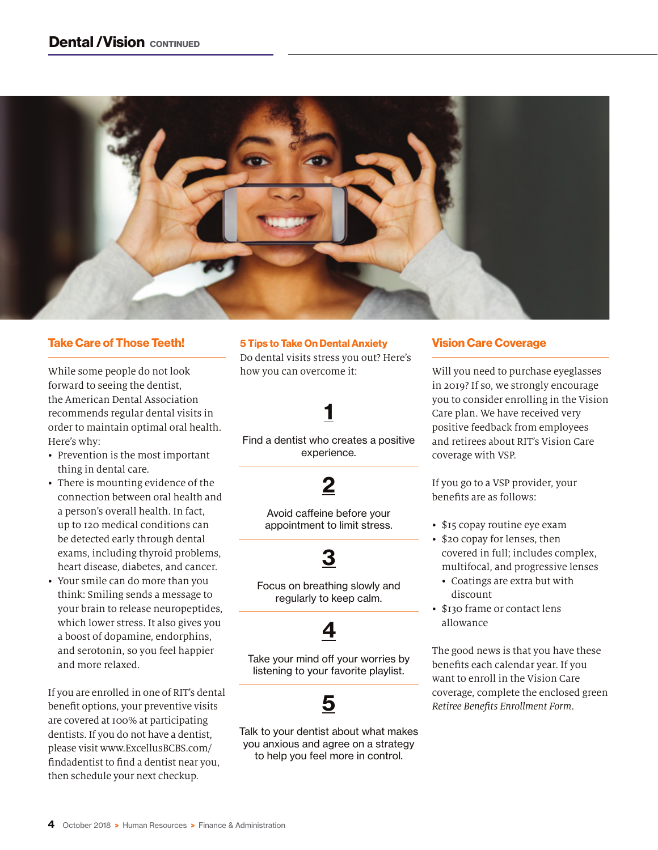

#### Take Care of Those Teeth!

While some people do not look forward to seeing the dentist, the American Dental Association recommends regular dental visits in order to maintain optimal oral health. Here's why:

- Prevention is the most important thing in dental care.
- There is mounting evidence of the connection between oral health and a person's overall health. In fact, up to 120 medical conditions can be detected early through dental exams, including thyroid problems, heart disease, diabetes, and cancer.
- Your smile can do more than you think: Smiling sends a message to your brain to release neuropeptides, which lower stress. It also gives you a boost of dopamine, endorphins, and serotonin, so you feel happier and more relaxed.

If you are enrolled in one of RIT's dental benefit options, your preventive visits are covered at 100% at participating dentists. If you do not have a dentist, please visit www.ExcellusBCBS.com/ findadentist to find a dentist near you, then schedule your next checkup.

#### 5 Tips to Take On Dental Anxiety

Do dental visits stress you out? Here's how you can overcome it:

## 1

Find a dentist who creates a positive experience.

#### 2

Avoid caffeine before your appointment to limit stress.

# 3

Focus on breathing slowly and regularly to keep calm.

## 4

Take your mind off your worries by listening to your favorite playlist.



Talk to your dentist about what makes you anxious and agree on a strategy to help you feel more in control.

#### Vision Care Coverage

Will you need to purchase eyeglasses in 2019? If so, we strongly encourage you to consider enrolling in the Vision Care plan. We have received very positive feedback from employees and retirees about RIT's Vision Care coverage with VSP.

If you go to a VSP provider, your benefits are as follows:

- \$15 copay routine eye exam
- \$20 copay for lenses, then covered in full; includes complex, multifocal, and progressive lenses
	- Coatings are extra but with discount
- \$130 frame or contact lens allowance

The good news is that you have these benefits each calendar year. If you want to enroll in the Vision Care coverage, complete the enclosed green *Retiree Benefits Enrollment Form*.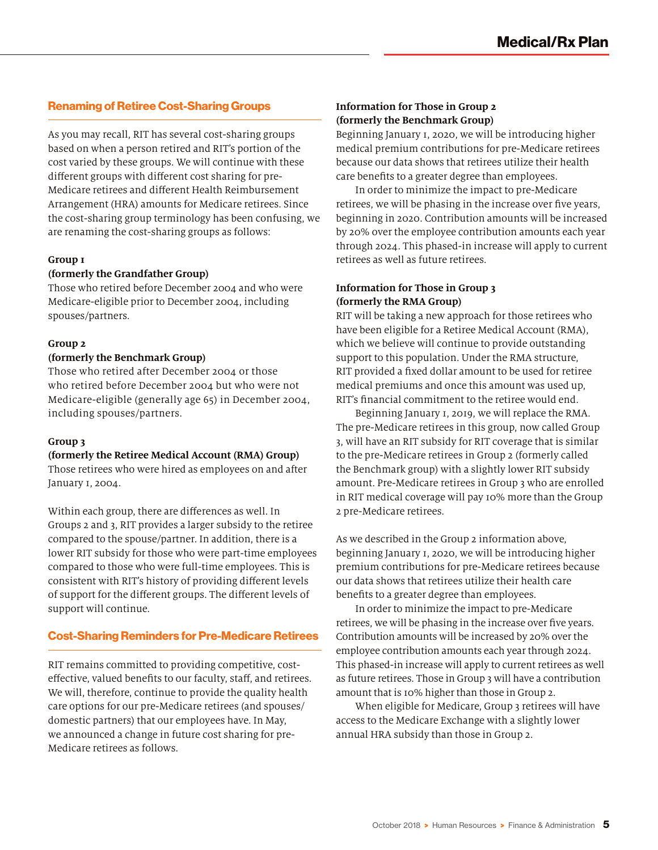#### Renaming of Retiree Cost-Sharing Groups

As you may recall, RIT has several cost-sharing groups based on when a person retired and RIT's portion of the cost varied by these groups. We will continue with these different groups with different cost sharing for pre-Medicare retirees and different Health Reimbursement Arrangement (HRA) amounts for Medicare retirees. Since the cost-sharing group terminology has been confusing, we are renaming the cost-sharing groups as follows:

#### **Group 1**

#### **(formerly the Grandfather Group)**

Those who retired before December 2004 and who were Medicare-eligible prior to December 2004, including spouses/partners.

#### **Group 2**

#### **(formerly the Benchmark Group)**

Those who retired after December 2004 or those who retired before December 2004 but who were not Medicare-eligible (generally age 65) in December 2004, including spouses/partners.

#### **Group 3**

#### **(formerly the Retiree Medical Account (RMA) Group)**

Those retirees who were hired as employees on and after January 1, 2004.

Within each group, there are differences as well. In Groups 2 and 3, RIT provides a larger subsidy to the retiree compared to the spouse/partner. In addition, there is a lower RIT subsidy for those who were part-time employees compared to those who were full-time employees. This is consistent with RIT's history of providing different levels of support for the different groups. The different levels of support will continue.

#### Cost-Sharing Reminders for Pre-Medicare Retirees

RIT remains committed to providing competitive, costeffective, valued benefits to our faculty, staff, and retirees. We will, therefore, continue to provide the quality health care options for our pre-Medicare retirees (and spouses/ domestic partners) that our employees have. In May, we announced a change in future cost sharing for pre-Medicare retirees as follows.

#### **Information for Those in Group 2 (formerly the Benchmark Group)**

Beginning January 1, 2020, we will be introducing higher medical premium contributions for pre-Medicare retirees because our data shows that retirees utilize their health care benefits to a greater degree than employees.

In order to minimize the impact to pre-Medicare retirees, we will be phasing in the increase over five years, beginning in 2020. Contribution amounts will be increased by 20% over the employee contribution amounts each year through 2024. This phased-in increase will apply to current retirees as well as future retirees.

#### **Information for Those in Group 3 (formerly the RMA Group)**

RIT will be taking a new approach for those retirees who have been eligible for a Retiree Medical Account (RMA), which we believe will continue to provide outstanding support to this population. Under the RMA structure, RIT provided a fixed dollar amount to be used for retiree medical premiums and once this amount was used up, RIT's financial commitment to the retiree would end.

Beginning January 1, 2019, we will replace the RMA. The pre-Medicare retirees in this group, now called Group 3, will have an RIT subsidy for RIT coverage that is similar to the pre-Medicare retirees in Group 2 (formerly called the Benchmark group) with a slightly lower RIT subsidy amount. Pre-Medicare retirees in Group 3 who are enrolled in RIT medical coverage will pay 10% more than the Group 2 pre-Medicare retirees.

As we described in the Group 2 information above, beginning January 1, 2020, we will be introducing higher premium contributions for pre-Medicare retirees because our data shows that retirees utilize their health care benefits to a greater degree than employees.

In order to minimize the impact to pre-Medicare retirees, we will be phasing in the increase over five years. Contribution amounts will be increased by 20% over the employee contribution amounts each year through 2024. This phased-in increase will apply to current retirees as well as future retirees. Those in Group 3 will have a contribution amount that is 10% higher than those in Group 2.

When eligible for Medicare, Group 3 retirees will have access to the Medicare Exchange with a slightly lower annual HRA subsidy than those in Group 2.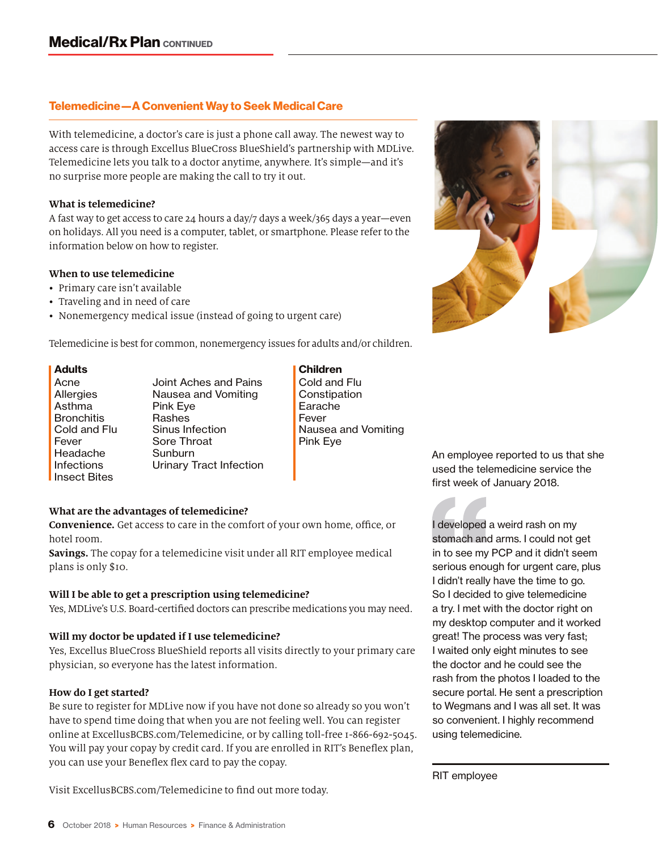#### Telemedicine—A Convenient Way to Seek Medical Care

With telemedicine, a doctor's care is just a phone call away. The newest way to access care is through Excellus BlueCross BlueShield's partnership with MDLive. Telemedicine lets you talk to a doctor anytime, anywhere. It's simple—and it's no surprise more people are making the call to try it out.

#### **What is telemedicine?**

A fast way to get access to care 24 hours a day/7 days a week/365 days a year—even on holidays. All you need is a computer, tablet, or smartphone. Please refer to the information below on how to register.

#### **When to use telemedicine**

- Primary care isn't available
- Traveling and in need of care
- Nonemergency medical issue (instead of going to urgent care)

Telemedicine is best for common, nonemergency issues for adults and/or children.

Acne **Allergies** Asthma **Bronchitis** Cold and Flu Fever Headache Infections Insect Bites

Joint Aches and Pains Nausea and Vomiting Pink Eye Rashes Sinus Infection Sore Throat **Sunburn** Urinary Tract Infection

Adults and Children and Children and Children Cold and Flu **Constipation** Earache Fever Nausea and Vomiting Pink Eye

#### An employee reported to us that she used the telemedicine service the first week of January 2018.

I developed a weird rash on my stomach and arms. I could not get in to see my PCP and it didn't seem serious enough for urgent care, plus I didn't really have the time to go. So I decided to give telemedicine a try. I met with the doctor right on my desktop computer and it worked great! The process was very fast; I waited only eight minutes to see the doctor and he could see the rash from the photos I loaded to the secure portal. He sent a prescription to Wegmans and I was all set. It was so convenient. I highly recommend using telemedicine.

RIT employee

#### **What are the advantages of telemedicine?**

**Convenience.** Get access to care in the comfort of your own home, office, or hotel room.

**Savings.** The copay for a telemedicine visit under all RIT employee medical plans is only \$10.

#### **Will I be able to get a prescription using telemedicine?**

Yes, MDLive's U.S. Board-certified doctors can prescribe medications you may need.

#### **Will my doctor be updated if I use telemedicine?**

Yes, Excellus BlueCross BlueShield reports all visits directly to your primary care physician, so everyone has the latest information.

#### **How do I get started?**

Be sure to register for MDLive now if you have not done so already so you won't have to spend time doing that when you are not feeling well. You can register online at ExcellusBCBS.com/Telemedicine, or by calling toll-free 1-866-692-5045. You will pay your copay by credit card. If you are enrolled in RIT's Beneflex plan, you can use your Beneflex flex card to pay the copay.

Visit ExcellusBCBS.com/Telemedicine to find out more today.

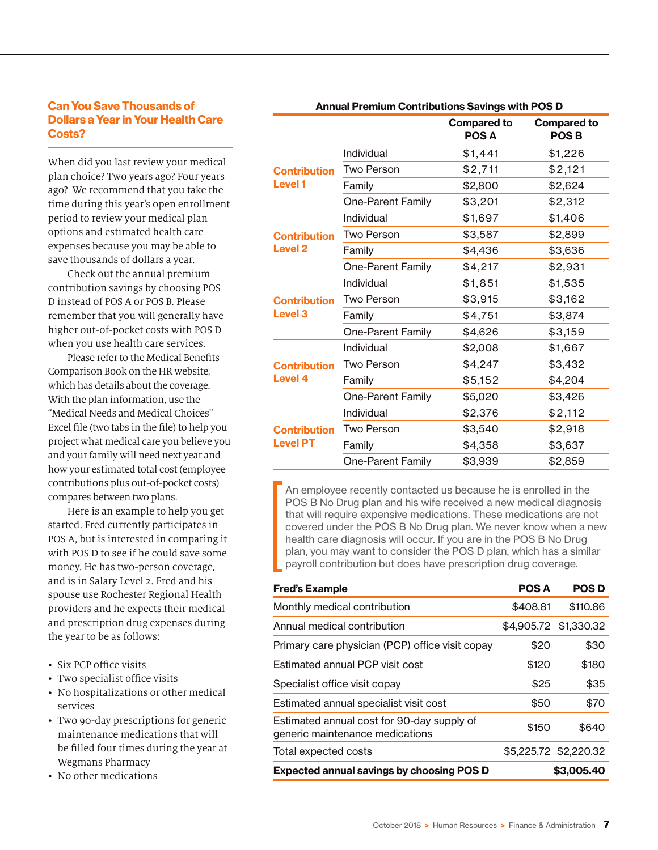#### Can You Save Thousands of Dollars a Year in Your Health Care Costs?

When did you last review your medical plan choice? Two years ago? Four years ago? We recommend that you take the time during this year's open enrollment period to review your medical plan options and estimated health care expenses because you may be able to save thousands of dollars a year.

Check out the annual premium contribution savings by choosing POS D instead of POS A or POS B. Please remember that you will generally have higher out-of-pocket costs with POS D when you use health care services.

Please refer to the Medical Benefits Comparison Book on the HR website, which has details about the coverage. With the plan information, use the "Medical Needs and Medical Choices" Excel file (two tabs in the file) to help you project what medical care you believe you and your family will need next year and how your estimated total cost (employee contributions plus out-of-pocket costs) compares between two plans.

Here is an example to help you get started. Fred currently participates in POS A, but is interested in comparing it with POS D to see if he could save some money. He has two-person coverage, and is in Salary Level 2. Fred and his spouse use Rochester Regional Health providers and he expects their medical and prescription drug expenses during the year to be as follows:

- Six PCP office visits
- Two specialist office visits
- No hospitalizations or other medical services
- Two 90-day prescriptions for generic maintenance medications that will be filled four times during the year at Wegmans Pharmacy
- No other medications

| <b>Annual Premium Contributions Savings with POS D</b> |                          |                             |                                   |
|--------------------------------------------------------|--------------------------|-----------------------------|-----------------------------------|
|                                                        |                          | <b>Compared to</b><br>POS A | <b>Compared to</b><br><b>POSB</b> |
| <b>Contribution</b><br><b>Level 1</b>                  | Individual               | \$1,441                     | \$1,226                           |
|                                                        | <b>Two Person</b>        | \$2,711                     | \$2,121                           |
|                                                        | Family                   | \$2,800                     | \$2,624                           |
|                                                        | One-Parent Family        | \$3,201                     | \$2,312                           |
| <b>Contribution</b><br><b>Level 2</b>                  | Individual               | \$1,697                     | \$1,406                           |
|                                                        | <b>Two Person</b>        | \$3,587                     | \$2,899                           |
|                                                        | Family                   | \$4,436                     | \$3,636                           |
|                                                        | One-Parent Family        | \$4,217                     | \$2,931                           |
| <b>Contribution</b><br><b>Level 3</b>                  | Individual               | \$1,851                     | \$1,535                           |
|                                                        | <b>Two Person</b>        | \$3,915                     | \$3,162                           |
|                                                        | Family                   | \$4,751                     | \$3,874                           |
|                                                        | <b>One-Parent Family</b> | \$4,626                     | \$3,159                           |
| <b>Contribution</b><br><b>Level 4</b>                  | Individual               | \$2,008                     | \$1,667                           |
|                                                        | <b>Two Person</b>        | \$4,247                     | \$3,432                           |
|                                                        | Family                   | \$5,152                     | \$4,204                           |
|                                                        | <b>One-Parent Family</b> | \$5,020                     | \$3,426                           |
| <b>Contribution</b><br><b>Level PT</b>                 | Individual               | \$2,376                     | \$2,112                           |
|                                                        | <b>Two Person</b>        | \$3,540                     | \$2,918                           |
|                                                        | Family                   | \$4,358                     | \$3,637                           |
|                                                        | One-Parent Family        | \$3,939                     | \$2,859                           |

An employee recently contacted us because he is enrolled in the POS B No Drug plan and his wife received a new medical diagnosis that will require expensive medications. These medications are not covered under the POS B No Drug plan. We never know when a new health care diagnosis will occur. If you are in the POS B No Drug plan, you may want to consider the POS D plan, which has a similar payroll contribution but does have prescription drug coverage.

| <b>Fred's Example</b>                                                         | <b>POS A</b> | <b>POSD</b>           |
|-------------------------------------------------------------------------------|--------------|-----------------------|
| Monthly medical contribution                                                  | \$408.81     | \$110.86              |
| Annual medical contribution                                                   | \$4,905.72   | \$1,330.32            |
| Primary care physician (PCP) office visit copay                               | \$20         | \$30                  |
| Estimated annual PCP visit cost                                               | \$120        | \$180                 |
| Specialist office visit copay                                                 | \$25         | \$35                  |
| Estimated annual specialist visit cost                                        | \$50         | \$70                  |
| Estimated annual cost for 90-day supply of<br>generic maintenance medications | \$150        | \$640                 |
| Total expected costs                                                          |              | \$5,225.72 \$2,220.32 |
| <b>Expected annual savings by choosing POS D</b>                              |              | \$3,005,40            |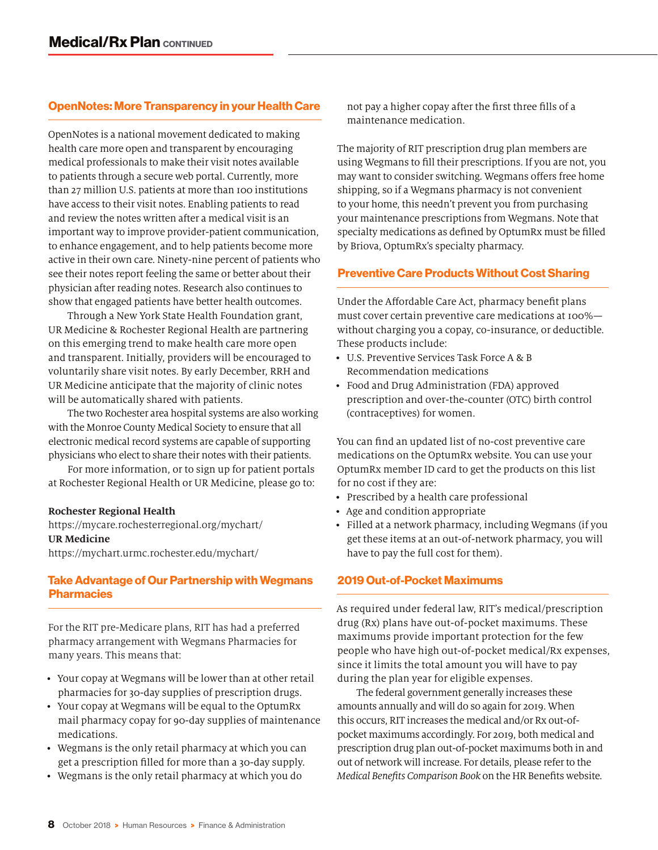#### OpenNotes: More Transparency in your Health Care

OpenNotes is a national movement dedicated to making health care more open and transparent by encouraging medical professionals to make their visit notes available to patients through a secure web portal. Currently, more than 27 million U.S. patients at more than 100 institutions have access to their visit notes. Enabling patients to read and review the notes written after a medical visit is an important way to improve provider-patient communication, to enhance engagement, and to help patients become more active in their own care. Ninety-nine percent of patients who see their notes report feeling the same or better about their physician after reading notes. Research also continues to show that engaged patients have better health outcomes.

Through a New York State Health Foundation grant, UR Medicine & Rochester Regional Health are partnering on this emerging trend to make health care more open and transparent. Initially, providers will be encouraged to voluntarily share visit notes. By early December, RRH and UR Medicine anticipate that the majority of clinic notes will be automatically shared with patients.

The two Rochester area hospital systems are also working with the Monroe County Medical Society to ensure that all electronic medical record systems are capable of supporting physicians who elect to share their notes with their patients.

For more information, or to sign up for patient portals at Rochester Regional Health or UR Medicine, please go to:

#### **Rochester Regional Health**

https://mycare.rochesterregional.org/mychart/ **UR Medicine**  https://mychart.urmc.rochester.edu/mychart/

#### Take Advantage of Our Partnership with Wegmans **Pharmacies**

For the RIT pre-Medicare plans, RIT has had a preferred pharmacy arrangement with Wegmans Pharmacies for many years. This means that:

- Your copay at Wegmans will be lower than at other retail pharmacies for 30-day supplies of prescription drugs.
- Your copay at Wegmans will be equal to the OptumRx mail pharmacy copay for 90-day supplies of maintenance medications.
- Wegmans is the only retail pharmacy at which you can get a prescription filled for more than a 30-day supply.
- Wegmans is the only retail pharmacy at which you do

not pay a higher copay after the first three fills of a maintenance medication.

The majority of RIT prescription drug plan members are using Wegmans to fill their prescriptions. If you are not, you may want to consider switching. Wegmans offers free home shipping, so if a Wegmans pharmacy is not convenient to your home, this needn't prevent you from purchasing your maintenance prescriptions from Wegmans. Note that specialty medications as defined by OptumRx must be filled by Briova, OptumRx's specialty pharmacy.

#### Preventive Care Products Without Cost Sharing

Under the Affordable Care Act, pharmacy benefit plans must cover certain preventive care medications at 100% without charging you a copay, co-insurance, or deductible. These products include:

- U.S. Preventive Services Task Force A & B Recommendation medications
- Food and Drug Administration (FDA) approved prescription and over-the-counter (OTC) birth control (contraceptives) for women.

You can find an updated list of no-cost preventive care medications on the OptumRx website. You can use your OptumRx member ID card to get the products on this list for no cost if they are:

- Prescribed by a health care professional
- Age and condition appropriate
- Filled at a network pharmacy, including Wegmans (if you get these items at an out-of-network pharmacy, you will have to pay the full cost for them).

#### 2019 Out-of-Pocket Maximums

As required under federal law, RIT's medical/prescription drug (Rx) plans have out-of-pocket maximums. These maximums provide important protection for the few people who have high out-of-pocket medical/Rx expenses, since it limits the total amount you will have to pay during the plan year for eligible expenses.

The federal government generally increases these amounts annually and will do so again for 2019. When this occurs, RIT increases the medical and/or Rx out-ofpocket maximums accordingly. For 2019, both medical and prescription drug plan out-of-pocket maximums both in and out of network will increase. For details, please refer to the *Medical Benefits Comparison Book* on the HR Benefits website.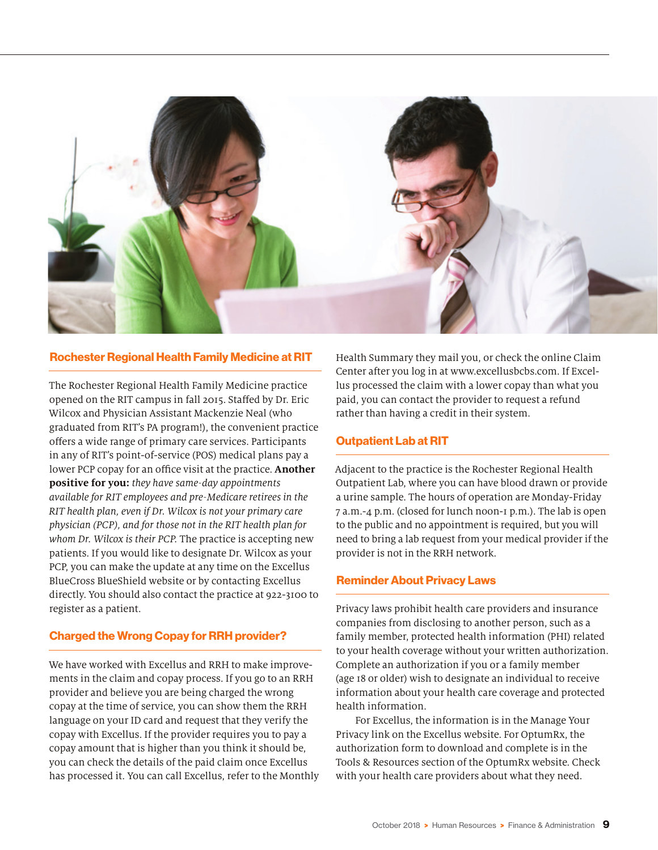

#### Rochester Regional Health Family Medicine at RIT

The Rochester Regional Health Family Medicine practice opened on the RIT campus in fall 2015. Staffed by Dr. Eric Wilcox and Physician Assistant Mackenzie Neal (who graduated from RIT's PA program!), the convenient practice offers a wide range of primary care services. Participants in any of RIT's point-of-service (POS) medical plans pay a lower PCP copay for an office visit at the practice. **Another positive for you:** *they have same-day appointments available for RIT employees and pre-Medicare retirees in the RIT health plan, even if Dr. Wilcox is not your primary care physician (PCP), and for those not in the RIT health plan for whom Dr. Wilcox is their PCP.* The practice is accepting new patients. If you would like to designate Dr. Wilcox as your PCP, you can make the update at any time on the Excellus BlueCross BlueShield website or by contacting Excellus directly. You should also contact the practice at 922-3100 to register as a patient.

#### Charged the Wrong Copay for RRH provider?

We have worked with Excellus and RRH to make improvements in the claim and copay process. If you go to an RRH provider and believe you are being charged the wrong copay at the time of service, you can show them the RRH language on your ID card and request that they verify the copay with Excellus. If the provider requires you to pay a copay amount that is higher than you think it should be, you can check the details of the paid claim once Excellus has processed it. You can call Excellus, refer to the Monthly Health Summary they mail you, or check the online Claim Center after you log in at www.excellusbcbs.com. If Excellus processed the claim with a lower copay than what you paid, you can contact the provider to request a refund rather than having a credit in their system.

#### Outpatient Lab at RIT

Adjacent to the practice is the Rochester Regional Health Outpatient Lab, where you can have blood drawn or provide a urine sample. The hours of operation are Monday-Friday 7 a.m.-4 p.m. (closed for lunch noon-1 p.m.). The lab is open to the public and no appointment is required, but you will need to bring a lab request from your medical provider if the provider is not in the RRH network.

#### Reminder About Privacy Laws

Privacy laws prohibit health care providers and insurance companies from disclosing to another person, such as a family member, protected health information (PHI) related to your health coverage without your written authorization. Complete an authorization if you or a family member (age 18 or older) wish to designate an individual to receive information about your health care coverage and protected health information.

For Excellus, the information is in the Manage Your Privacy link on the Excellus website. For OptumRx, the authorization form to download and complete is in the Tools & Resources section of the OptumRx website. Check with your health care providers about what they need.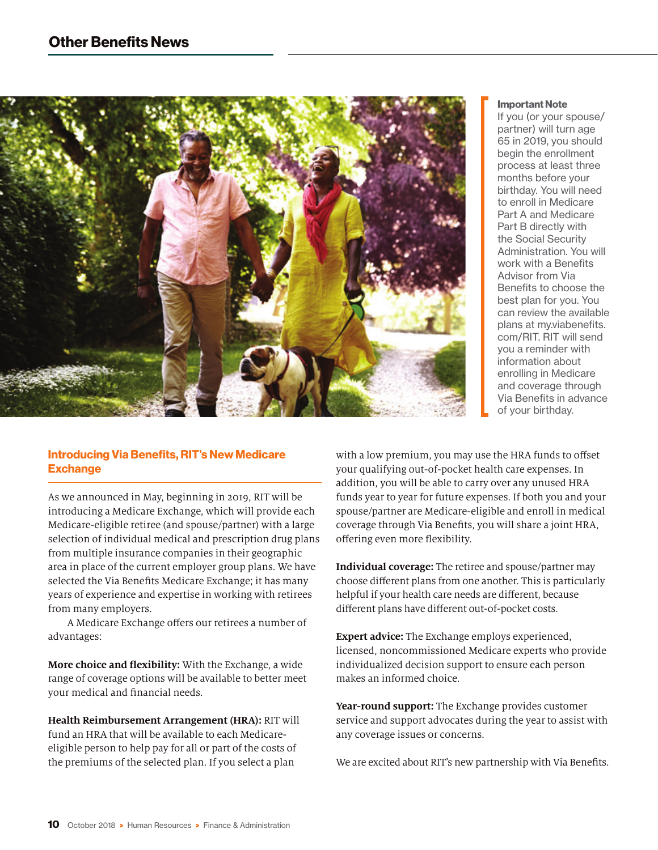

#### Important Note

If you (or your spouse/ partner) will turn age 65 in 2019, you should begin the enrollment process at least three months before your birthday. You will need to enroll in Medicare Part A and Medicare Part B directly with the Social Security Administration. You will work with a Benefits Advisor from Via Benefits to choose the best plan for you. You can review the available plans at my.viabenefits. com/RIT. RIT will send you a reminder with information about enrolling in Medicare and coverage through Via Benefits in advance of your birthday.

#### Introducing Via Benefits, RIT's New Medicare **Exchange**

As we announced in May, beginning in 2019, RIT will be introducing a Medicare Exchange, which will provide each Medicare-eligible retiree (and spouse/partner) with a large selection of individual medical and prescription drug plans from multiple insurance companies in their geographic area in place of the current employer group plans. We have selected the Via Benefits Medicare Exchange; it has many years of experience and expertise in working with retirees from many employers.

A Medicare Exchange offers our retirees a number of advantages:

**More choice and flexibility:** With the Exchange, a wide range of coverage options will be available to better meet your medical and financial needs.

**Health Reimbursement Arrangement (HRA):** RIT will fund an HRA that will be available to each Medicareeligible person to help pay for all or part of the costs of the premiums of the selected plan. If you select a plan

with a low premium, you may use the HRA funds to offset your qualifying out-of-pocket health care expenses. In addition, you will be able to carry over any unused HRA funds year to year for future expenses. If both you and your spouse/partner are Medicare-eligible and enroll in medical coverage through Via Benefits, you will share a joint HRA, offering even more flexibility.

**Individual coverage:** The retiree and spouse/partner may choose different plans from one another. This is particularly helpful if your health care needs are different, because different plans have different out-of-pocket costs.

**Expert advice:** The Exchange employs experienced, licensed, noncommissioned Medicare experts who provide individualized decision support to ensure each person makes an informed choice.

**Year-round support:** The Exchange provides customer service and support advocates during the year to assist with any coverage issues or concerns.

We are excited about RIT's new partnership with Via Benefits.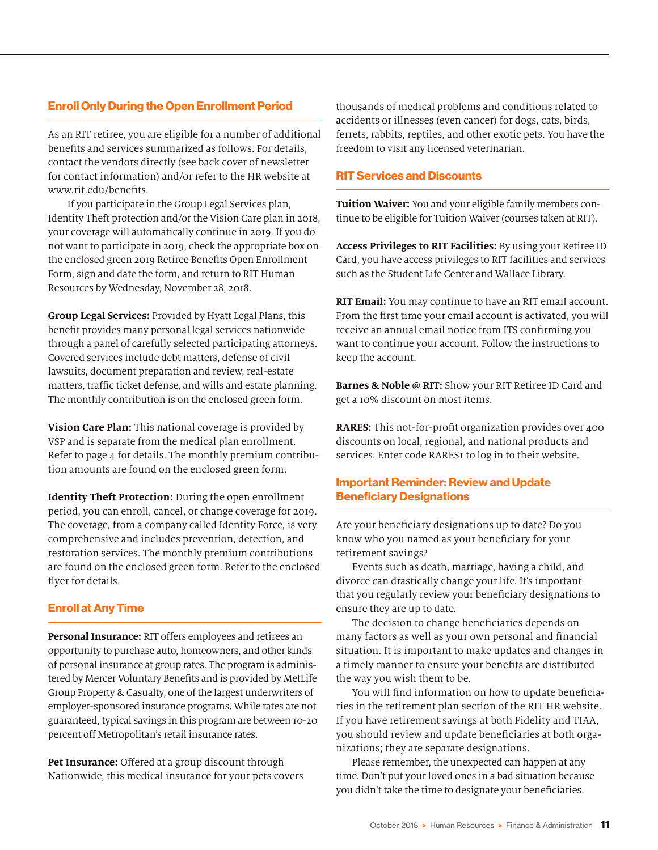#### Enroll Only During the Open Enrollment Period

As an RIT retiree, you are eligible for a number of additional benefits and services summarized as follows. For details, contact the vendors directly (see back cover of newsletter for contact information) and/or refer to the HR website at www.rit.edu/benefits.

If you participate in the Group Legal Services plan, Identity Theft protection and/or the Vision Care plan in 2018, your coverage will automatically continue in 2019. If you do not want to participate in 2019, check the appropriate box on the enclosed green 2019 Retiree Benefits Open Enrollment Form, sign and date the form, and return to RIT Human Resources by Wednesday, November 28, 2018.

**Group Legal Services:** Provided by Hyatt Legal Plans, this benefit provides many personal legal services nationwide through a panel of carefully selected participating attorneys. Covered services include debt matters, defense of civil lawsuits, document preparation and review, real-estate matters, traffic ticket defense, and wills and estate planning. The monthly contribution is on the enclosed green form.

**Vision Care Plan:** This national coverage is provided by VSP and is separate from the medical plan enrollment. Refer to page 4 for details. The monthly premium contribution amounts are found on the enclosed green form.

**Identity Theft Protection:** During the open enrollment period, you can enroll, cancel, or change coverage for 2019. The coverage, from a company called Identity Force, is very comprehensive and includes prevention, detection, and restoration services. The monthly premium contributions are found on the enclosed green form. Refer to the enclosed flyer for details.

#### Enroll at Any Time

**Personal Insurance:** RIT offers employees and retirees an opportunity to purchase auto, homeowners, and other kinds of personal insurance at group rates. The program is administered by Mercer Voluntary Benefits and is provided by MetLife Group Property & Casualty, one of the largest underwriters of employer-sponsored insurance programs. While rates are not guaranteed, typical savings in this program are between 10-20 percent off Metropolitan's retail insurance rates.

**Pet Insurance:** Offered at a group discount through Nationwide, this medical insurance for your pets covers thousands of medical problems and conditions related to accidents or illnesses (even cancer) for dogs, cats, birds, ferrets, rabbits, reptiles, and other exotic pets. You have the freedom to visit any licensed veterinarian.

#### RIT Services and Discounts

**Tuition Waiver:** You and your eligible family members continue to be eligible for Tuition Waiver (courses taken at RIT).

**Access Privileges to RIT Facilities:** By using your Retiree ID Card, you have access privileges to RIT facilities and services such as the Student Life Center and Wallace Library.

**RIT Email:** You may continue to have an RIT email account. From the first time your email account is activated, you will receive an annual email notice from ITS confirming you want to continue your account. Follow the instructions to keep the account.

**Barnes & Noble @ RIT:** Show your RIT Retiree ID Card and get a 10% discount on most items.

**RARES:** This not-for-profit organization provides over 400 discounts on local, regional, and national products and services. Enter code RARES1 to log in to their website.

#### Important Reminder: Review and Update Beneficiary Designations

Are your beneficiary designations up to date? Do you know who you named as your beneficiary for your retirement savings?

Events such as death, marriage, having a child, and divorce can drastically change your life. It's important that you regularly review your beneficiary designations to ensure they are up to date.

The decision to change beneficiaries depends on many factors as well as your own personal and financial situation. It is important to make updates and changes in a timely manner to ensure your benefits are distributed the way you wish them to be.

You will find information on how to update beneficiaries in the retirement plan section of the RIT HR website. If you have retirement savings at both Fidelity and TIAA, you should review and update beneficiaries at both organizations; they are separate designations.

Please remember, the unexpected can happen at any time. Don't put your loved ones in a bad situation because you didn't take the time to designate your beneficiaries.